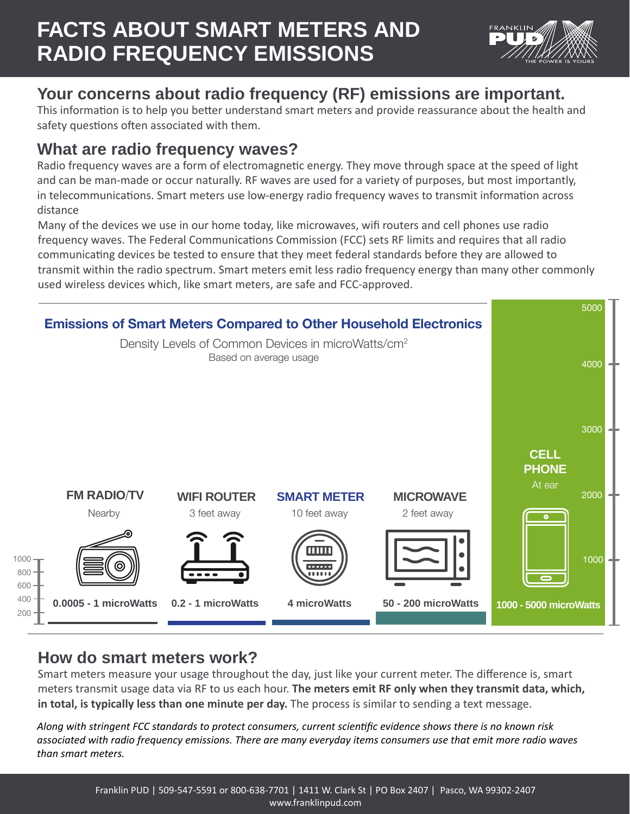

# **Your concerns about radio frequency (RF) emissions are important.**

This information is to help you better understand smart meters and provide reassurance about the health and safety questions often associated with them.

## **What are radio frequency waves?**

Radio frequency waves are a form of electromagnetic energy. They move through space at the speed of light and can be man-made or occur naturally. RF waves are used for a variety of purposes, but most importantly, in telecommunications. Smart meters use low-energy radio frequency waves to transmit information across distance

Many of the devices we use in our home today, like microwaves, wifi routers and cell phones use radio frequency waves. The Federal Communications Commission (FCC) sets RF limits and requires that all radio communicating devices be tested to ensure that they meet federal standards before they are allowed to transmit within the radio spectrum. Smart meters emit less radio frequency energy than many other commonly used wireless devices which, like smart meters, are safe and FCC-approved.



## **How do smart meters work?**

Smart meters measure your usage throughout the day, just like your current meter. The difference is, smart meters transmit usage data via RF to us each hour. **The meters emit RF only when they transmit data, which, in total, is typically less than one minute per day.** The process is similar to sending a text message.

*Along with stringent FCC standards to protect consumers, current scientific evidence shows there is no known risk associated with radio frequency emissions. There are many everyday items consumers use that emit more radio waves than smart meters.*